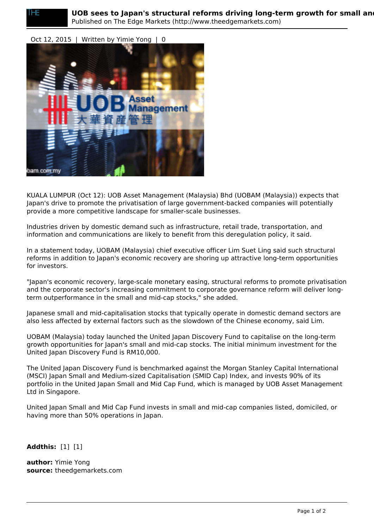## Oct 12, 2015 | Written by Yimie Yong | 0



KUALA LUMPUR (Oct 12): UOB Asset Management (Malaysia) Bhd (UOBAM (Malaysia)) expects that Japan's drive to promote the privatisation of large government-backed companies will potentially provide a more competitive landscape for smaller-scale businesses.

Industries driven by domestic demand such as infrastructure, retail trade, transportation, and information and communications are likely to benefit from this deregulation policy, it said.

In a statement today, UOBAM (Malaysia) chief executive officer Lim Suet Ling said such structural reforms in addition to Japan's economic recovery are shoring up attractive long-term opportunities for investors.

"Japan's economic recovery, large-scale monetary easing, structural reforms to promote privatisation and the corporate sector's increasing commitment to corporate governance reform will deliver longterm outperformance in the small and mid-cap stocks," she added.

Japanese small and mid-capitalisation stocks that typically operate in domestic demand sectors are also less affected by external factors such as the slowdown of the Chinese economy, said Lim.

UOBAM (Malaysia) today launched the United Japan Discovery Fund to capitalise on the long-term growth opportunities for Japan's small and mid-cap stocks. The initial minimum investment for the United Japan Discovery Fund is RM10,000.

The United Japan Discovery Fund is benchmarked against the Morgan Stanley Capital International (MSCI) Japan Small and Medium-sized Capitalisation (SMID Cap) Index, and invests 90% of its portfolio in the United Japan Small and Mid Cap Fund, which is managed by UOB Asset Management Ltd in Singapore.

United Japan Small and Mid Cap Fund invests in small and mid-cap companies listed, domiciled, or having more than 50% operations in Japan.

**Addthis:** [1] [1]

**author:** Yimie Yong **source:** theedgemarkets.com